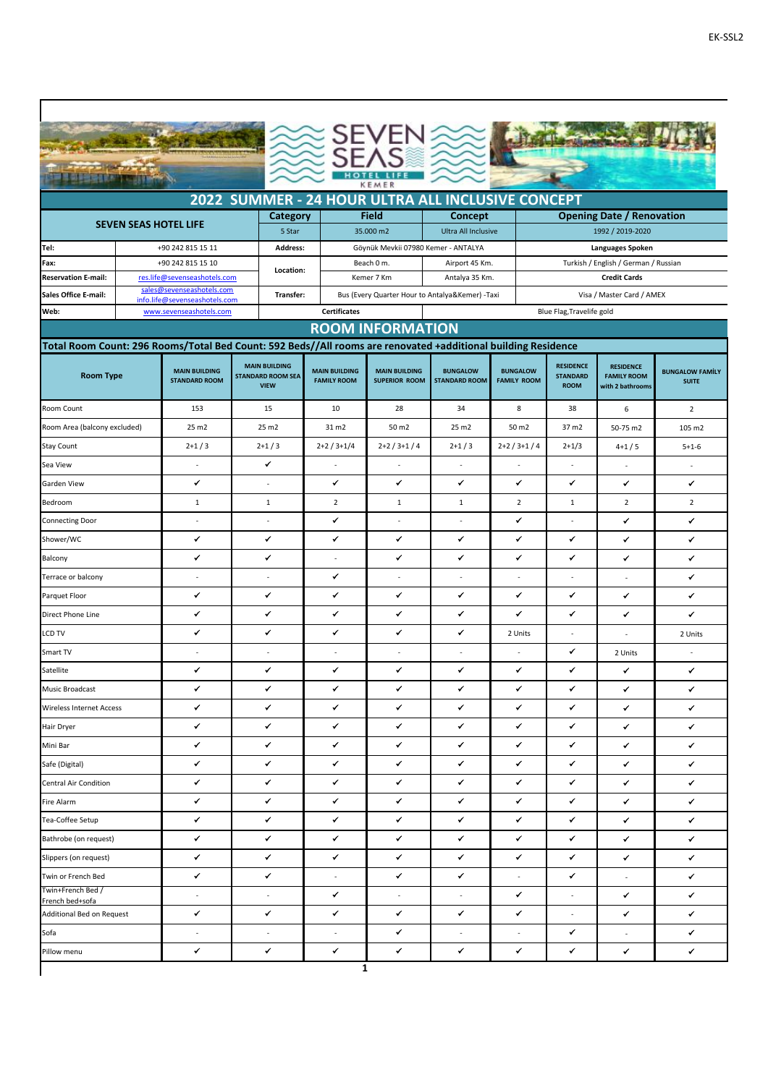|                                                                                                               |                                                                                                                                                                                                                                                                                                                                                                                                                                                                                     |                                                            |              |                          |                                                  | KEMER                                                                                           |                                                   |                |                          |                                  |                          |  |  |
|---------------------------------------------------------------------------------------------------------------|-------------------------------------------------------------------------------------------------------------------------------------------------------------------------------------------------------------------------------------------------------------------------------------------------------------------------------------------------------------------------------------------------------------------------------------------------------------------------------------|------------------------------------------------------------|--------------|--------------------------|--------------------------------------------------|-------------------------------------------------------------------------------------------------|---------------------------------------------------|----------------|--------------------------|----------------------------------|--------------------------|--|--|
|                                                                                                               |                                                                                                                                                                                                                                                                                                                                                                                                                                                                                     |                                                            |              |                          |                                                  |                                                                                                 | 2022 SUMMER - 24 HOUR ULTRA ALL INCLUSIVE CONCEPT |                |                          |                                  |                          |  |  |
|                                                                                                               |                                                                                                                                                                                                                                                                                                                                                                                                                                                                                     |                                                            |              | Category                 |                                                  | <b>Field</b>                                                                                    | Concept                                           |                |                          | <b>Opening Date / Renovation</b> |                          |  |  |
|                                                                                                               | <b>SEVEN SEAS HOTEL LIFE</b>                                                                                                                                                                                                                                                                                                                                                                                                                                                        |                                                            |              | 5 Star                   |                                                  | 35.000 m2                                                                                       | Ultra All Inclusive                               |                |                          | 1992 / 2019-2020                 |                          |  |  |
| Tel:                                                                                                          | +90 242 815 15 11                                                                                                                                                                                                                                                                                                                                                                                                                                                                   |                                                            |              |                          | Address:<br>Göynük Mevkii 07980 Kemer - ANTALYA  |                                                                                                 |                                                   |                | Languages Spoken         |                                  |                          |  |  |
| +90 242 815 15 10<br>Fax:<br><b>Reservation E-mail:</b><br>res.life@sevenseashotels.com                       |                                                                                                                                                                                                                                                                                                                                                                                                                                                                                     |                                                            | Location:    |                          | Beach 0 m.<br>Kemer 7 Km                         | Airport 45 Km.<br>Turkish / English / German / Russian<br>Antalya 35 Km.<br><b>Credit Cards</b> |                                                   |                |                          |                                  |                          |  |  |
| <b>Sales Office E-mail:</b>                                                                                   |                                                                                                                                                                                                                                                                                                                                                                                                                                                                                     | sales@sevenseashotels.com<br>info.life@sevenseashotels.com |              | Transfer:                |                                                  |                                                                                                 | Bus (Every Quarter Hour to Antalya&Kemer) -Taxi   |                |                          | Visa / Master Card / AMEX        |                          |  |  |
| Web:                                                                                                          |                                                                                                                                                                                                                                                                                                                                                                                                                                                                                     | www.sevenseashotels.com                                    |              |                          | <b>Certificates</b><br>Blue Flag, Travelife gold |                                                                                                 |                                                   |                |                          |                                  |                          |  |  |
|                                                                                                               |                                                                                                                                                                                                                                                                                                                                                                                                                                                                                     |                                                            |              |                          |                                                  | <b>ROOM INFORMATION</b>                                                                         |                                                   |                |                          |                                  |                          |  |  |
| Total Room Count: 296 Rooms/Total Bed Count: 592 Beds//All rooms are renovated +additional building Residence |                                                                                                                                                                                                                                                                                                                                                                                                                                                                                     |                                                            |              |                          |                                                  |                                                                                                 |                                                   |                |                          |                                  |                          |  |  |
|                                                                                                               | <b>MAIN BUILDING</b><br><b>RESIDENCE</b><br><b>RESIDENCE</b><br><b>MAIN BUILDING</b><br><b>MAIN BUILDING</b><br><b>BUNGALOW</b><br><b>MAIN BUILDING</b><br><b>BUNGALOW</b><br><b>BUNGALOW FAMILY</b><br><b>Room Type</b><br><b>STANDARD ROOM SEA</b><br><b>STANDARD</b><br><b>FAMILY ROOM</b><br><b>STANDARD ROOM</b><br><b>FAMILY ROOM</b><br><b>SUPERIOR ROOM</b><br><b>FAMILY ROOM</b><br><b>STANDARD ROOM</b><br><b>SUITE</b><br><b>VIEW</b><br><b>ROOM</b><br>with 2 bathrooms |                                                            |              |                          |                                                  |                                                                                                 |                                                   |                |                          |                                  |                          |  |  |
| Room Count                                                                                                    |                                                                                                                                                                                                                                                                                                                                                                                                                                                                                     | 153                                                        |              | 15                       | 10                                               | 28                                                                                              | 34                                                | 8              | 38                       | 6                                | $\overline{2}$           |  |  |
| Room Area (balcony excluded)                                                                                  |                                                                                                                                                                                                                                                                                                                                                                                                                                                                                     | 25 m2                                                      |              | 25 m2                    | 31 m2                                            | 50 m2                                                                                           | 25 m2                                             | 50 m2          | 37 m2                    | 50-75 m2                         | 105 m2                   |  |  |
| <b>Stay Count</b>                                                                                             |                                                                                                                                                                                                                                                                                                                                                                                                                                                                                     | $2+1/3$                                                    |              | $2+1/3$                  | $2+2/3+1/4$                                      | $2+2/3+1/4$                                                                                     | $2+1/3$                                           | $2+2/3+1/4$    | $2+1/3$                  | $4+1/5$                          | $5 + 1 - 6$              |  |  |
| Sea View                                                                                                      |                                                                                                                                                                                                                                                                                                                                                                                                                                                                                     | $\sim$                                                     |              | ✔                        | $\overline{\phantom{a}}$                         |                                                                                                 |                                                   |                |                          |                                  | $\sim$                   |  |  |
| Garden View                                                                                                   |                                                                                                                                                                                                                                                                                                                                                                                                                                                                                     | ✓                                                          |              | ÷.                       | ✔                                                | ✔                                                                                               | $\checkmark$                                      | ✔              | ✓                        | ✔                                | ✔                        |  |  |
| Bedroom                                                                                                       |                                                                                                                                                                                                                                                                                                                                                                                                                                                                                     | $1\,$                                                      | $\mathbf{1}$ |                          | $\overline{2}$                                   | $\mathbf{1}$                                                                                    | $\mathbf{1}$<br>$\overline{2}$                    |                | 1                        | $\overline{2}$                   | $\overline{2}$           |  |  |
| Connecting Door                                                                                               |                                                                                                                                                                                                                                                                                                                                                                                                                                                                                     | $\sim$                                                     | $\omega$     |                          | ✔                                                | ٠                                                                                               | ÷,                                                | ✓              |                          | ✔                                | ✔                        |  |  |
| Shower/WC                                                                                                     |                                                                                                                                                                                                                                                                                                                                                                                                                                                                                     | ✔                                                          | ✔            |                          | ✔                                                | ✔                                                                                               | ✔                                                 | ✔              | ✓                        | ✔                                | ✔                        |  |  |
| Balcony                                                                                                       |                                                                                                                                                                                                                                                                                                                                                                                                                                                                                     | ✔                                                          | ✓            |                          |                                                  | ✔                                                                                               | ✔                                                 | ✔              | ✓                        | ✔                                | ✔                        |  |  |
| Terrace or balcony                                                                                            |                                                                                                                                                                                                                                                                                                                                                                                                                                                                                     | ÷.                                                         |              | ÷.                       | ✓                                                | ÷.                                                                                              | $\sim$                                            | ÷.             | ÷                        | $\sim$                           | ✔                        |  |  |
| Parquet Floor                                                                                                 |                                                                                                                                                                                                                                                                                                                                                                                                                                                                                     | ✔                                                          | ✔            |                          | ✔                                                | ✔                                                                                               | ✔                                                 | ✔              | ✔                        | ✔                                | ✔                        |  |  |
| Direct Phone Line                                                                                             |                                                                                                                                                                                                                                                                                                                                                                                                                                                                                     | ✔                                                          | ✔            |                          | ✔                                                | ✔                                                                                               | ✔                                                 | ✔              | ✔                        | ✔                                | ✔                        |  |  |
| <b>LCD TV</b>                                                                                                 |                                                                                                                                                                                                                                                                                                                                                                                                                                                                                     | ✓                                                          | ✓            |                          | ✓                                                | ✔                                                                                               | ✔                                                 | 2 Units        |                          |                                  | 2 Units                  |  |  |
| Smart TV                                                                                                      |                                                                                                                                                                                                                                                                                                                                                                                                                                                                                     |                                                            |              |                          |                                                  |                                                                                                 |                                                   |                | ✔                        | 2 Units                          | $\overline{\phantom{a}}$ |  |  |
| Satellite                                                                                                     |                                                                                                                                                                                                                                                                                                                                                                                                                                                                                     | ✓                                                          |              | ✔                        | ✔                                                | ✔                                                                                               | ✔                                                 | ✔              |                          | ✓                                | ✔                        |  |  |
| <b>Music Broadcast</b>                                                                                        |                                                                                                                                                                                                                                                                                                                                                                                                                                                                                     | ✔                                                          |              | ✓                        | ✔                                                | ✔                                                                                               | ✓                                                 | ✔              | ✓                        | ✔                                | ✔                        |  |  |
| <b>Wireless Internet Access</b>                                                                               |                                                                                                                                                                                                                                                                                                                                                                                                                                                                                     | ✔                                                          |              | $\checkmark$             | ✔                                                | ✓                                                                                               | $\checkmark$                                      | ✓              | ✓                        | ✔                                | ✔                        |  |  |
| Hair Dryer                                                                                                    |                                                                                                                                                                                                                                                                                                                                                                                                                                                                                     | ✓                                                          |              | $\checkmark$             | ✓                                                | ✓                                                                                               | ✓                                                 | ✔              | ✓                        | ✓                                | ✓                        |  |  |
| Mini Bar                                                                                                      |                                                                                                                                                                                                                                                                                                                                                                                                                                                                                     | ✔                                                          |              | ✔                        | ✔                                                | ✔                                                                                               | ✓                                                 | ✔              | ✔                        | ✔                                | ✓                        |  |  |
| Safe (Digital)                                                                                                |                                                                                                                                                                                                                                                                                                                                                                                                                                                                                     | ✓                                                          |              | $\checkmark$             | ✔                                                | ✓                                                                                               | $\checkmark$                                      | ✔              | ✓                        | ✔                                | $\checkmark$             |  |  |
| <b>Central Air Condition</b>                                                                                  |                                                                                                                                                                                                                                                                                                                                                                                                                                                                                     | ✓                                                          |              | ✓                        | ✓                                                | ✓                                                                                               | ✓                                                 | ✓              | ✔                        | ✔                                | ✓                        |  |  |
| Fire Alarm                                                                                                    |                                                                                                                                                                                                                                                                                                                                                                                                                                                                                     | ✓                                                          |              | $\checkmark$             | ✔                                                | ✔                                                                                               | ✔                                                 | ✔              | ✓                        | ✓                                | ✓                        |  |  |
| Tea-Coffee Setup                                                                                              |                                                                                                                                                                                                                                                                                                                                                                                                                                                                                     | ✔                                                          |              | ✓                        | ✓                                                | ✔                                                                                               | ✔                                                 | ✔              | ✔                        | ✓                                | $\checkmark$             |  |  |
| Bathrobe (on request)                                                                                         |                                                                                                                                                                                                                                                                                                                                                                                                                                                                                     | ✔                                                          |              | $\checkmark$             | ✓                                                | ✓                                                                                               | $\checkmark$                                      | ✓              | ✓                        | ✔                                | ✓                        |  |  |
| Slippers (on request)                                                                                         |                                                                                                                                                                                                                                                                                                                                                                                                                                                                                     | ✓                                                          |              | $\checkmark$             | ✔                                                | ✓                                                                                               | ✓                                                 | ✓              | ✓                        | ✔                                | $\checkmark$             |  |  |
| Twin or French Bed<br>Twin+French Bed /                                                                       |                                                                                                                                                                                                                                                                                                                                                                                                                                                                                     | ✔                                                          |              | $\checkmark$             | $\overline{\phantom{a}}$                         | ✓                                                                                               | ✓                                                 | $\blacksquare$ | ✔                        | $\overline{\phantom{a}}$         | ✔                        |  |  |
| French bed+sofa                                                                                               |                                                                                                                                                                                                                                                                                                                                                                                                                                                                                     | $\overline{\phantom{a}}$                                   |              | $\overline{\phantom{a}}$ | ✔                                                | $\blacksquare$                                                                                  | $\blacksquare$                                    | ✓              | $\blacksquare$           | ✔                                | $\checkmark$             |  |  |
| Additional Bed on Request                                                                                     |                                                                                                                                                                                                                                                                                                                                                                                                                                                                                     | ✔                                                          |              | ✓                        | ✓                                                | ✔                                                                                               | ✓                                                 | ✓              | $\overline{\phantom{a}}$ | ✔                                | ✔                        |  |  |
| Sofa                                                                                                          |                                                                                                                                                                                                                                                                                                                                                                                                                                                                                     | $\mathcal{L}$                                              |              | $\omega$                 | $\omega$                                         | ✔                                                                                               | $\sim$                                            | $\omega$       | ✓                        | $\overline{\phantom{a}}$         | ✓                        |  |  |
| Pillow menu                                                                                                   |                                                                                                                                                                                                                                                                                                                                                                                                                                                                                     | ✔                                                          |              | ✔                        | ✔                                                | ✔<br>$\mathbf{1}$                                                                               | ✓                                                 | ✔              | ✓                        | ✓                                | $\checkmark$             |  |  |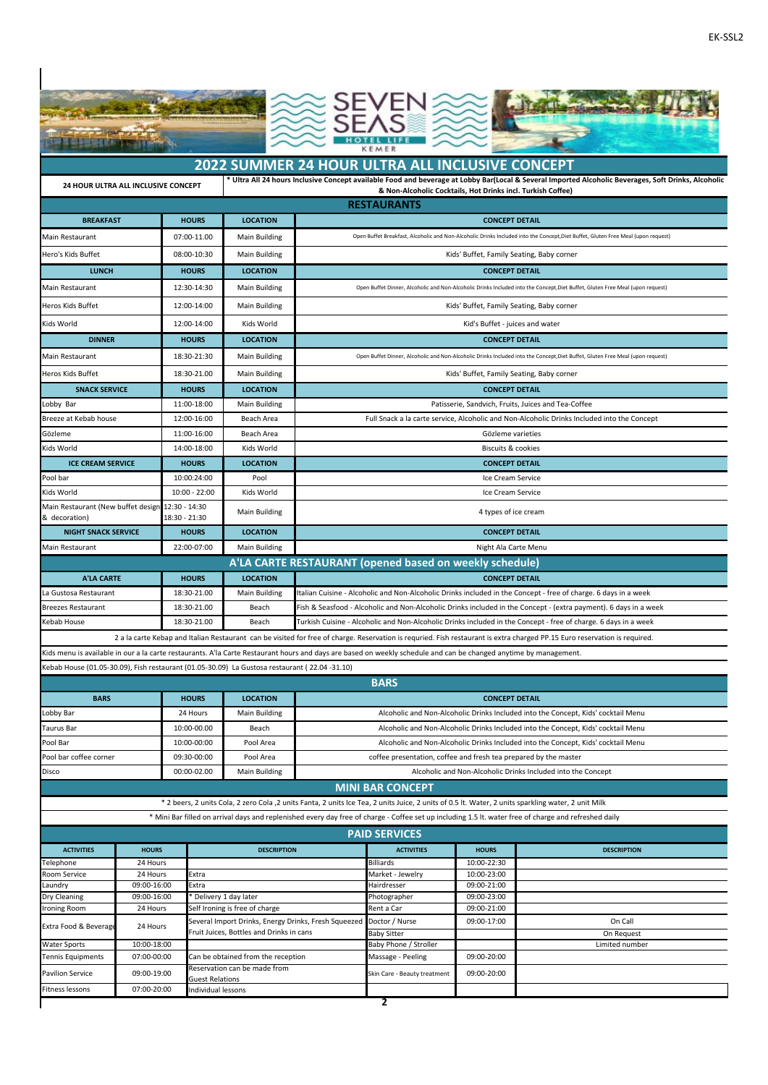



## **2022 SUMMER 24 HOUR ULTRA ALL INCLUSIVE CONCEPT**

**\* Ultra All 24 hours Inclusive Concept available Food and beverage at Lobby Bar(Local & Several Imported Alcoholic Beverages, Soft Drinks, Alcoholic** 

| 24 HOUR ULTRA ALL INCLUSIVE CONCEPT<br>& Non-Alcoholic Cocktails, Hot Drinks incl. Turkish Coffee)                                                    |                 |                 |                                                                                                                                                                            |  |  |  |  |  |  |
|-------------------------------------------------------------------------------------------------------------------------------------------------------|-----------------|-----------------|----------------------------------------------------------------------------------------------------------------------------------------------------------------------------|--|--|--|--|--|--|
| <b>RESTAURANTS</b>                                                                                                                                    |                 |                 |                                                                                                                                                                            |  |  |  |  |  |  |
| <b>BREAKFAST</b>                                                                                                                                      | <b>HOURS</b>    | <b>LOCATION</b> | <b>CONCEPT DETAIL</b>                                                                                                                                                      |  |  |  |  |  |  |
| Main Restaurant                                                                                                                                       | 07:00-11.00     | Main Building   | Open Buffet Breakfast, Alcoholic and Non-Alcoholic Drinks Included into the Concept, Diet Buffet, Gluten Free Meal (upon request)                                          |  |  |  |  |  |  |
| Hero's Kids Buffet                                                                                                                                    | 08:00-10:30     | Main Building   | Kids' Buffet, Family Seating, Baby corner                                                                                                                                  |  |  |  |  |  |  |
| <b>LUNCH</b>                                                                                                                                          | <b>HOURS</b>    | <b>LOCATION</b> | <b>CONCEPT DETAIL</b>                                                                                                                                                      |  |  |  |  |  |  |
| Main Restaurant                                                                                                                                       | 12:30-14:30     | Main Building   | Open Buffet Dinner, Alcoholic and Non-Alcoholic Drinks Included into the Concept, Diet Buffet, Gluten Free Meal (upon request)                                             |  |  |  |  |  |  |
| Heros Kids Buffet                                                                                                                                     | 12:00-14:00     | Main Building   | Kids' Buffet, Family Seating, Baby corner                                                                                                                                  |  |  |  |  |  |  |
| Kids World                                                                                                                                            | 12:00-14:00     | Kids World      | Kid's Buffet - juices and water                                                                                                                                            |  |  |  |  |  |  |
| <b>DINNER</b>                                                                                                                                         | <b>HOURS</b>    | <b>LOCATION</b> | <b>CONCEPT DETAIL</b>                                                                                                                                                      |  |  |  |  |  |  |
| Main Restaurant                                                                                                                                       | 18:30-21:30     | Main Building   | Open Buffet Dinner, Alcoholic and Non-Alcoholic Drinks Included into the Concept, Diet Buffet, Gluten Free Meal (upon request)                                             |  |  |  |  |  |  |
| Heros Kids Buffet                                                                                                                                     | 18:30-21.00     | Main Building   | Kids' Buffet, Family Seating, Baby corner                                                                                                                                  |  |  |  |  |  |  |
| <b>SNACK SERVICE</b>                                                                                                                                  | <b>HOURS</b>    | <b>LOCATION</b> | <b>CONCEPT DETAIL</b>                                                                                                                                                      |  |  |  |  |  |  |
| Lobby Bar                                                                                                                                             | 11:00-18:00     | Main Building   | Patisserie, Sandvich, Fruits, Juices and Tea-Coffee                                                                                                                        |  |  |  |  |  |  |
| Breeze at Kebab house                                                                                                                                 | 12:00-16:00     | Beach Area      | Full Snack a la carte service, Alcoholic and Non-Alcoholic Drinks Included into the Concept                                                                                |  |  |  |  |  |  |
| Gözleme                                                                                                                                               | 11:00-16:00     | Beach Area      | Gözleme varieties                                                                                                                                                          |  |  |  |  |  |  |
| Kids World                                                                                                                                            | 14:00-18:00     | Kids World      | <b>Biscuits &amp; cookies</b>                                                                                                                                              |  |  |  |  |  |  |
| <b>ICE CREAM SERVICE</b>                                                                                                                              | <b>HOURS</b>    | <b>LOCATION</b> | <b>CONCEPT DETAIL</b>                                                                                                                                                      |  |  |  |  |  |  |
| Pool bar                                                                                                                                              | 10:00:24:00     | Pool            | Ice Cream Service                                                                                                                                                          |  |  |  |  |  |  |
| Kids World                                                                                                                                            | $10:00 - 22:00$ | Kids World      | Ice Cream Service                                                                                                                                                          |  |  |  |  |  |  |
| Main Restaurant (New buffet design 12:30 - 14:30<br>& decoration)                                                                                     | 18:30 - 21:30   | Main Building   | 4 types of ice cream                                                                                                                                                       |  |  |  |  |  |  |
| <b>NIGHT SNACK SERVICE</b>                                                                                                                            | <b>HOURS</b>    | <b>LOCATION</b> | <b>CONCEPT DETAIL</b>                                                                                                                                                      |  |  |  |  |  |  |
| Main Restaurant                                                                                                                                       | 22:00-07:00     | Main Building   | Night Ala Carte Menu                                                                                                                                                       |  |  |  |  |  |  |
|                                                                                                                                                       |                 |                 | A'LA CARTE RESTAURANT (opened based on weekly schedule)                                                                                                                    |  |  |  |  |  |  |
| <b>A'LA CARTE</b>                                                                                                                                     | <b>HOURS</b>    | <b>LOCATION</b> | <b>CONCEPT DETAIL</b>                                                                                                                                                      |  |  |  |  |  |  |
| La Gustosa Restaurant                                                                                                                                 | 18:30-21.00     | Main Building   | Italian Cuisine - Alcoholic and Non-Alcoholic Drinks included in the Concept - free of charge. 6 days in a week                                                            |  |  |  |  |  |  |
| <b>Breezes Restaurant</b>                                                                                                                             | 18:30-21.00     | Beach           | Fish & Seasfood - Alcoholic and Non-Alcoholic Drinks included in the Concept - (extra payment). 6 days in a week                                                           |  |  |  |  |  |  |
| Kebab House                                                                                                                                           | 18:30-21.00     | Beach           | Turkish Cuisine - Alcoholic and Non-Alcoholic Drinks included in the Concept - free of charge. 6 days in a week                                                            |  |  |  |  |  |  |
|                                                                                                                                                       |                 |                 | 2 a la carte Kebap and Italian Restaurant can be visited for free of charge. Reservation is requried. Fish restaurant is extra charged PP.15 Euro reservation is required. |  |  |  |  |  |  |
|                                                                                                                                                       |                 |                 | Kids menu is available in our a la carte restaurants. A'la Carte Restaurant hours and days are based on weekly schedule and can be changed anytime by management.          |  |  |  |  |  |  |
| Kebab House (01.05-30.09), Fish restaurant (01.05-30.09) La Gustosa restaurant (22.04 -31.10)                                                         |                 |                 |                                                                                                                                                                            |  |  |  |  |  |  |
|                                                                                                                                                       |                 |                 | <b>BARS</b>                                                                                                                                                                |  |  |  |  |  |  |
| <b>BARS</b>                                                                                                                                           | <b>HOURS</b>    | <b>LOCATION</b> | <b>CONCEPT DETAIL</b>                                                                                                                                                      |  |  |  |  |  |  |
| Lobby Bar                                                                                                                                             | 24 Hours        | Main Building   | Alcoholic and Non-Alcoholic Drinks Included into the Concept, Kids' cocktail Menu                                                                                          |  |  |  |  |  |  |
| <b>Taurus Bar</b>                                                                                                                                     | 10:00-00.00     | Beach           | Alcoholic and Non-Alcoholic Drinks Included into the Concept, Kids' cocktail Menu                                                                                          |  |  |  |  |  |  |
| Pool Bar                                                                                                                                              | 10:00-00:00     | Pool Area       | Alcoholic and Non-Alcoholic Drinks Included into the Concept, Kids' cocktail Menu                                                                                          |  |  |  |  |  |  |
| Pool bar coffee corner                                                                                                                                | 09:30-00:00     | Pool Area       | coffee presentation, coffee and fresh tea prepared by the master                                                                                                           |  |  |  |  |  |  |
| Disco                                                                                                                                                 | 00:00-02.00     | Main Building   | Alcoholic and Non-Alcoholic Drinks Included into the Concept                                                                                                               |  |  |  |  |  |  |
|                                                                                                                                                       |                 |                 | <b>MINI BAR CONCEPT</b>                                                                                                                                                    |  |  |  |  |  |  |
|                                                                                                                                                       |                 |                 | * 2 beers, 2 units Cola, 2 zero Cola ,2 units Fanta, 2 units Ice Tea, 2 units Juice, 2 units of 0.5 lt. Water, 2 units sparkling water, 2 unit Milk                        |  |  |  |  |  |  |
| * Mini Bar filled on arrival days and replenished every day free of charge - Coffee set up including 1.5 lt. water free of charge and refreshed daily |                 |                 |                                                                                                                                                                            |  |  |  |  |  |  |
|                                                                                                                                                       |                 |                 | <b>PAID SERVICES</b>                                                                                                                                                       |  |  |  |  |  |  |
|                                                                                                                                                       |                 |                 |                                                                                                                                                                            |  |  |  |  |  |  |

| <b>ACTIVITIES</b>        | <b>HOURS</b> | <b>DESCRIPTION</b>                                                  | <b>ACTIVITIES</b>            | <b>HOURS</b> | <b>DESCRIPTION</b> |
|--------------------------|--------------|---------------------------------------------------------------------|------------------------------|--------------|--------------------|
| Telephone                | 24 Hours     |                                                                     | <b>Billiards</b>             | 10:00-22:30  |                    |
| Room Service             | 24 Hours     | Extra                                                               | Market - Jewelry             | 10:00-23:00  |                    |
| Laundry                  | 09:00-16:00  | Extra                                                               | Hairdresser                  | 09:00-21:00  |                    |
| Dry Cleaning             | 09:00-16:00  | Delivery 1 day later                                                | Photographer                 | 09:00-23:00  |                    |
| <b>Ironing Room</b>      | 24 Hours     | Self Ironing is free of charge                                      | Rent a Car                   | 09:00-21:00  |                    |
| Extra Food & Beverage    | 24 Hours     | Several Import Drinks, Energy Drinks, Fresh Squeezed Doctor / Nurse |                              | 09:00-17:00  | On Call            |
|                          |              | Fruit Juices, Bottles and Drinks in cans                            | <b>Baby Sitter</b>           |              | On Request         |
| <b>Water Sports</b>      | 10:00-18:00  |                                                                     | Baby Phone / Stroller        |              | Limited number     |
| <b>Tennis Equipments</b> | 07:00-00:00  | Can be obtained from the reception                                  | Massage - Peeling            | 09:00-20:00  |                    |
| <b>Pavilion Service</b>  | 09:00-19:00  | Reservation can be made from<br><b>Guest Relations</b>              | Skin Care - Beauty treatment | 09:00-20:00  |                    |
| Fitness lessons          | 07:00-20:00  | Individual lessons                                                  |                              |              |                    |
|                          |              |                                                                     |                              |              |                    |